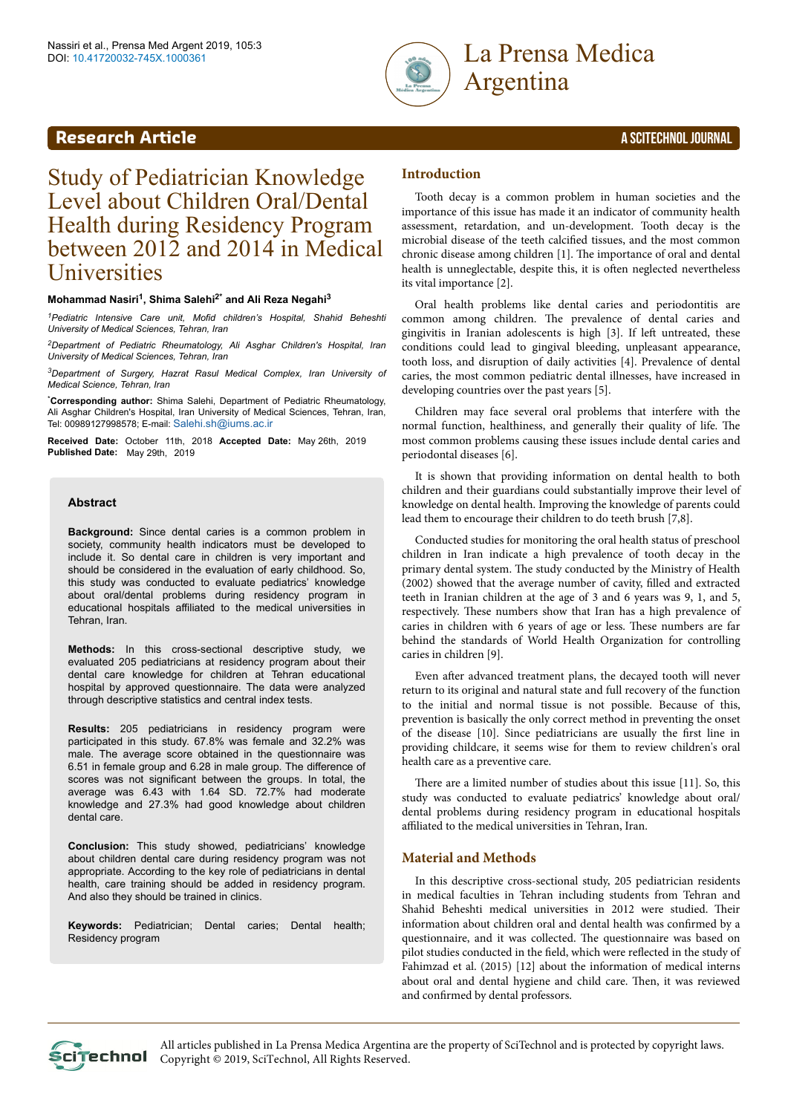

# **Research Article** A SCITECHNOL JOURNAL

# Study of Pediatrician Knowledge Level about Children Oral/Dental Health during Residency Program between 2012 and 2014 in Medical **Universities**

# **Mohammad Nasiri<sup>1</sup> , Shima Salehi2\* and Ali Reza Negahi<sup>3</sup>**

*<sup>1</sup>Pediatric Intensive Care unit, Mofid children's Hospital, Shahid Beheshti University of Medical Sciences, Tehran, Iran*

*<sup>2</sup>Department of Pediatric Rheumatology, Ali Asghar Children's Hospital, Iran University of Medical Sciences, Tehran, Iran*

*<sup>3</sup>Department of Surgery, Hazrat Rasul Medical Complex, Iran University of Medical Science, Tehran, Iran*

\***Corresponding author:** Shima Salehi, Department of Pediatric Rheumatology, Ali Asghar Children's Hospital, Iran University of Medical Sciences, Tehran, Iran, Tel: 00989127998578; E-mail: [Salehi.sh@iums.ac.ir](mailto:Salehi.sh@iums.ac.ir)

**Received Date:** October 11th, 2018 **Accepted Date:** May 26th, 2019 **Published Date:** May 29th, 2019

#### **Abstract**

**Background:** Since dental caries is a common problem in society, community health indicators must be developed to include it. So dental care in children is very important and should be considered in the evaluation of early childhood. So, this study was conducted to evaluate pediatrics' knowledge about oral/dental problems during residency program in educational hospitals affiliated to the medical universities in Tehran, Iran.

**Methods:** In this cross-sectional descriptive study, we evaluated 205 pediatricians at residency program about their dental care knowledge for children at Tehran educational hospital by approved questionnaire. The data were analyzed through descriptive statistics and central index tests.

**Results:** 205 pediatricians in residency program were participated in this study. 67.8% was female and 32.2% was male. The average score obtained in the questionnaire was 6.51 in female group and 6.28 in male group. The difference of scores was not significant between the groups. In total, the average was 6.43 with 1.64 SD. 72.7% had moderate knowledge and 27.3% had good knowledge about children dental care.

**Conclusion:** This study showed, pediatricians' knowledge about children dental care during residency program was not appropriate. According to the key role of pediatricians in dental health, care training should be added in residency program. And also they should be trained in clinics.

**Keywords:** Pediatrician; Dental caries; Dental health; Residency program

# **Introduction**

Tooth decay is a common problem in human societies and the importance of this issue has made it an indicator of community health assessment, retardation, and un-development. Tooth decay is the microbial disease of the teeth calcified tissues, and the most common chronic disease among children [1]. Нe importance of oral and dental health is unneglectable, despite this, it is often neglected nevertheless its vital importance [2].

Oral health problems like dental caries and periodontitis are common among children. Нe prevalence of dental caries and gingivitis in Iranian adolescents is high [3]. If left untreated, these conditions could lead to gingival bleeding, unpleasant appearance, tooth loss, and disruption of daily activities [4]. Prevalence of dental caries, the most common pediatric dental illnesses, have increased in developing countries over the past years [5].

Children may face several oral problems that interfere with the normal function, healthiness, and generally their quality of life. Нe most common problems causing these issues include dental caries and periodontal diseases [6].

It is shown that providing information on dental health to both children and their guardians could substantially improve their level of knowledge on dental health. Improving the knowledge of parents could lead them to encourage their children to do teeth brush [7,8].

Conducted studies for monitoring the oral health status of preschool children in Iran indicate a high prevalence of tooth decay in the primary dental system. Нe study conducted by the Ministry of Health (2002) showed that the average number of cavity, filled and extracted teeth in Iranian children at the age of 3 and 6 years was 9, 1, and 5, respectively. Нese numbers show that Iran has a high prevalence of caries in children with 6 years of age or less. Нese numbers are far behind the standards of World Health Organization for controlling caries in children [9].

Even after advanced treatment plans, the decayed tooth will never return to its original and natural state and full recovery of the function to the initial and normal tissue is not possible. Because of this, prevention is basically the only correct method in preventing the onset of the disease [10]. Since pediatricians are usually the first line in providing childcare, it seems wise for them to review children's oral health care as a preventive care.

There are a limited number of studies about this issue [11]. So, this study was conducted to evaluate pediatrics' knowledge about oral/ dental problems during residency program in educational hospitals affiliated to the medical universities in Tehran, Iran.

# **Material and Methods**

In this descriptive cross-sectional study, 205 pediatrician residents in medical faculties in Tehran including students from Tehran and Shahid Beheshti medical universities in 2012 were studied. Нeir information about children oral and dental health was confirmed by a questionnaire, and it was collected. Нe questionnaire was based on pilot studies conducted in the field, which were reflected in the study of Fahimzad et al. (2015) [12] about the information of medical interns about oral and dental hygiene and child care. Then, it was reviewed and confirmed by dental professors.

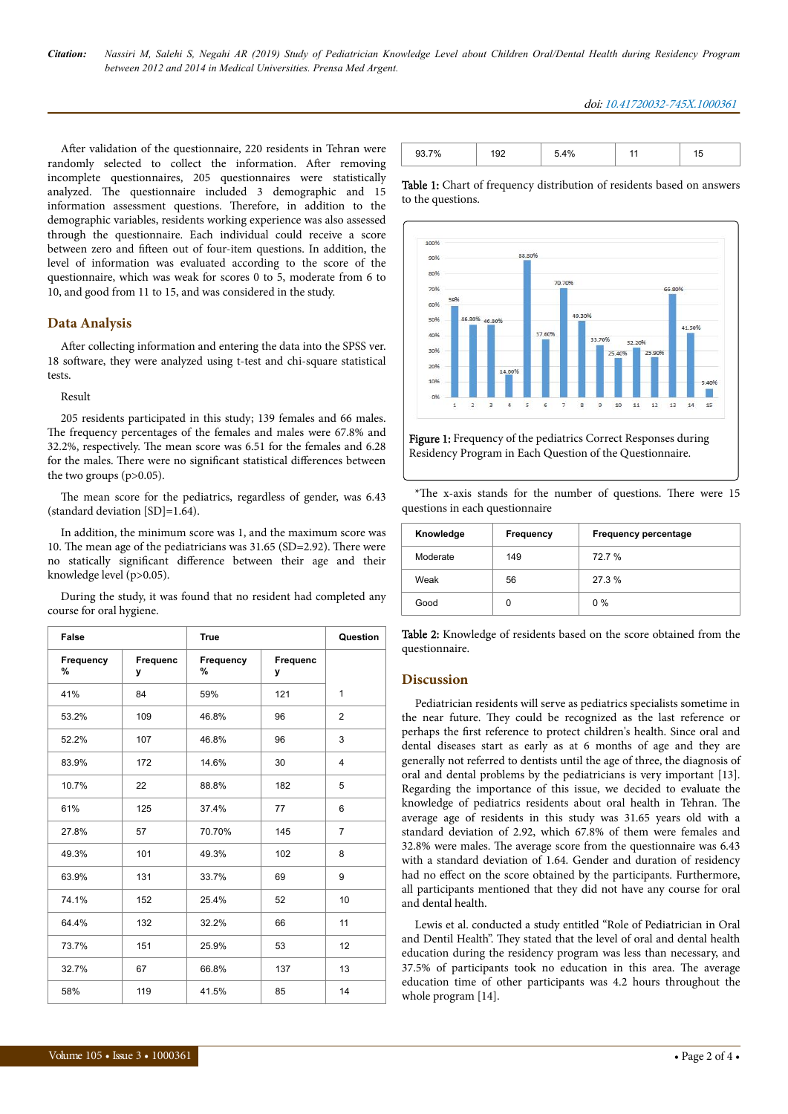#### doi: 10.41720032-745X.1000361

After validation of the questionnaire, 220 residents in Tehran were randomly selected to collect the information. After removing incomplete questionnaires, 205 questionnaires were statistically analyzed. The questionnaire included 3 demographic and 15 information assessment questions. Therefore, in addition to the demographic variables, residents working experience was also assessed through the questionnaire. Each individual could receive a score between zero and fifteen out of four-item questions. In addition, the level of information was evaluated according to the score of the questionnaire, which was weak for scores 0 to 5, moderate from 6 to 10, and good from 11 to 15, and was considered in the study.

## **Data Analysis**

After collecting information and entering the data into the SPSS ver. 18 software, they were analyzed using t-test and chi-square statistical tests.

#### Result

205 residents participated in this study; 139 females and 66 males. The frequency percentages of the females and males were 67.8% and 32.2%, respectively. Нe mean score was 6.51 for the females and 6.28 for the males. There were no significant statistical differences between the two groups (p>0.05).

The mean score for the pediatrics, regardless of gender, was 6.43 (standard deviation [SD]=1.64).

In addition, the minimum score was 1, and the maximum score was 10. The mean age of the pediatricians was 31.65 (SD=2.92). There were no statically significant difference between their age and their knowledge level (p>0.05).

During the study, it was found that no resident had completed any course for oral hygiene.

| <b>False</b>   |               | <b>True</b>    |               | Question       |
|----------------|---------------|----------------|---------------|----------------|
| Frequency<br>% | Frequenc<br>у | Frequency<br>% | Frequenc<br>у |                |
| 41%            | 84            | 59%            | 121           | $\mathbf{1}$   |
| 53.2%          | 109           | 46.8%          | 96            | $\overline{2}$ |
| 52.2%          | 107           | 46.8%          | 96            | 3              |
| 83.9%          | 172           | 14.6%          | 30            | 4              |
| 10.7%          | 22            | 88.8%          | 182           | 5              |
| 61%            | 125           | 37.4%          | 77            | 6              |
| 27.8%          | 57            | 70.70%         | 145           | $\overline{7}$ |
| 49.3%          | 101           | 49.3%          | 102           | 8              |
| 63.9%          | 131           | 33.7%          | 69            | 9              |
| 74.1%          | 152           | 25.4%          | 52            | 10             |
| 64.4%          | 132           | 32.2%          | 66            | 11             |
| 73.7%          | 151           | 25.9%          | 53            | 12             |
| 32.7%          | 67            | 66.8%          | 137           | 13             |
| 58%            | 119           | 41.5%          | 85            | 14             |

|  | 401 |  |
|--|-----|--|

Table 1: Chart of frequency distribution of residents based on answers to the questions.



Figure 1: Frequency of the pediatrics Correct Responses during Residency Program in Each Question of the Questionnaire.

| Knowledge | Frequency | <b>Frequency percentage</b> |
|-----------|-----------|-----------------------------|
| Moderate  | 149       | 72.7 %                      |
| Weak      | 56        | 27.3 %                      |
| Good      | 0         | $0\%$                       |

\*The x-axis stands for the number of questions. There were 15

Table 2: Knowledge of residents based on the score obtained from the questionnaire.

### **Discussion**

questions in each questionnaire

Pediatrician residents will serve as pediatrics specialists sometime in the near future. They could be recognized as the last reference or perhaps the first reference to protect children's health. Since oral and dental diseases start as early as at 6 months of age and they are generally not referred to dentists until the age of three, the diagnosis of oral and dental problems by the pediatricians is very important [13]. Regarding the importance of this issue, we decided to evaluate the knowledge of pediatrics residents about oral health in Tehran. Нe average age of residents in this study was 31.65 years old with a standard deviation of 2.92, which 67.8% of them were females and 32.8% were males. Нe average score from the questionnaire was 6.43 with a standard deviation of 1.64. Gender and duration of residency had no effect on the score obtained by the participants. Furthermore, all participants mentioned that they did not have any course for oral and dental health.

Lewis et al. conducted a study entitled "Role of Pediatrician in Oral and Dentil Health". They stated that the level of oral and dental health education during the residency program was less than necessary, and 37.5% of participants took no education in this area. Нe average education time of other participants was 4.2 hours throughout the whole program [14].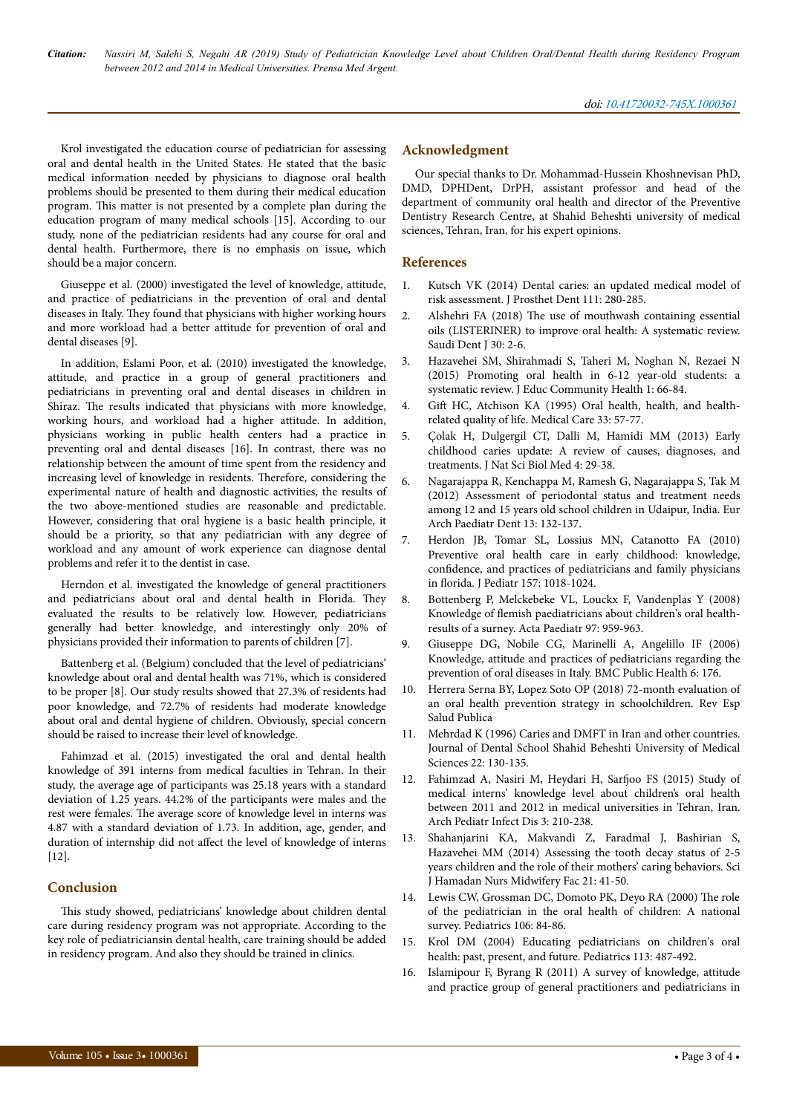Krol investigated the education course of pediatrician for assessing oral and dental health in the United States. He stated that the basic medical information needed by physicians to diagnose oral health problems should be presented to them during their medical education program. Нis matter is not presented by a complete plan during the education program of many medical schools [15]. According to our study, none of the pediatrician residents had any course for oral and dental health. Furthermore, there is no emphasis on issue, which should be a major concern.

Giuseppe et al. (2000) investigated the level of knowledge, attitude, and practice of pediatricians in the prevention of oral and dental diseases in Italy. They found that physicians with higher working hours and more workload had a better attitude for prevention of oral and dental diseases [9].

In addition, Eslami Poor, et al. (2010) investigated the knowledge, attitude, and practice in a group of general practitioners and pediatricians in preventing oral and dental diseases in children in Shiraz. Нe results indicated that physicians with more knowledge, working hours, and workload had a higher attitude. In addition, physicians working in public health centers had a practice in preventing oral and dental diseases [16]. In contrast, there was no relationship between the amount of time spent from the residency and increasing level of knowledge in residents. Therefore, considering the experimental nature of health and diagnostic activities, the results of the two above-mentioned studies are reasonable and predictable. However, considering that oral hygiene is a basic health principle, it should be a priority, so that any pediatrician with any degree of workload and any amount of work experience can diagnose dental problems and refer it to the dentist in case.

Herndon et al. investigated the knowledge of general practitioners and pediatricians about oral and dental health in Florida. They evaluated the results to be relatively low. However, pediatricians generally had better knowledge, and interestingly only 20% of physicians provided their information to parents of children [7].

Battenberg et al. (Belgium) concluded that the level of pediatricians' knowledge about oral and dental health was 71%, which is considered to be proper [8]. Our study results showed that 27.3% of residents had poor knowledge, and 72.7% of residents had moderate knowledge about oral and dental hygiene of children. Obviously, special concern should be raised to increase their level of knowledge.

Fahimzad et al. (2015) investigated the oral and dental health knowledge of 391 interns from medical faculties in Tehran. In their study, the average age of participants was 25.18 years with a standard deviation of 1.25 years. 44.2% of the participants were males and the rest were females. Нe average score of knowledge level in interns was 4.87 with a standard deviation of 1.73. In addition, age, gender, and duration of internship did not affect the level of knowledge of interns [12].

### **Conclusion**

This study showed, pediatricians' knowledge about children dental care during residency program was not appropriate. According to the key role of pediatriciansin dental health, care training should be added in residency program. And also they should be trained in clinics.

# **Acknowledgment**

Our special thanks to Dr. Mohammad-Hussein Khoshnevisan PhD, DMD, DPHDent, DrPH, assistant professor and head of the department of community oral health and director of the Preventive Dentistry Research Centre, at Shahid Beheshti university of medical sciences, Tehran, Iran, for his expert opinions.

### **References**

- Kutsch VK (2014) Dental caries: an updated medical model of [risk assessment. J Prosthet Dent 111: 280-285.](https://www.sciencedirect.com/science/article/pii/S0022391313002692)
- 2. Alshehri FA (2018) Нe [use of mouthwash containing essential](https://www.sciencedirect.com/science/article/pii/S1013905217301025) [oils \(LISTERINER\) to improve oral health: A systematic review.](https://www.sciencedirect.com/science/article/pii/S1013905217301025) [Saudi Dent J 30: 2-6.](https://www.sciencedirect.com/science/article/pii/S1013905217301025)
- 3. [Hazavehei SM, Shirahmadi S, Taheri M, Noghan N, Rezaei N](http://jech.umsha.ac.ir/article-1-54-en.html) [\(2015\) Promoting oral health in 6-12 year-old students: a](http://jech.umsha.ac.ir/article-1-54-en.html) [systematic review. J Educ Community Health 1: 66-84.](http://jech.umsha.ac.ir/article-1-54-en.html)
- 4. Gift [HC, Atchison KA \(1995\) Oral health, health, and health](https://www.jstor.org/stable/3766698?seq=1)[related quality of life. Medical Care 33: 57-77.](https://www.jstor.org/stable/3766698?seq=1)
- 5. [Çolak H, Dulgergil CT, Dalli M, Hamidi MM \(2013\) Early](http://www.jnsbm.org/article.asp?issn=0976-9668;year=2013;volume=4;issue=1;spage=29;epage=38;aulast=%C7olak) [childhood caries update: A review of causes, diagnoses, and](http://www.jnsbm.org/article.asp?issn=0976-9668;year=2013;volume=4;issue=1;spage=29;epage=38;aulast=%C7olak) [treatments. J Nat Sci Biol Med 4: 29-38.](http://www.jnsbm.org/article.asp?issn=0976-9668;year=2013;volume=4;issue=1;spage=29;epage=38;aulast=%C7olak)
- 6. [Nagarajappa R, Kenchappa M, Ramesh G, Nagarajappa S, Tak M](https://link.springer.com/article/10.1007/BF03262859) [\(2012\) Assessment of periodontal status and treatment needs](https://link.springer.com/article/10.1007/BF03262859) [among 12 and 15 years old school children in Udaipur, India. Eur](https://link.springer.com/article/10.1007/BF03262859) [Arch Paediatr Dent 13: 132-137.](https://link.springer.com/article/10.1007/BF03262859)
- 7. [Herdon JB, Tomar SL, Lossius MN, Catanotto FA \(2010\)](https://www.sciencedirect.com/science/article/pii/S0022347610004725) [Preventive oral health care in early childhood: knowledge,](https://www.sciencedirect.com/science/article/pii/S0022347610004725) confidence, [and practices of pediatricians and family physicians](https://www.sciencedirect.com/science/article/pii/S0022347610004725) in florida. [J Pediatr 157: 1018-1024.](https://www.sciencedirect.com/science/article/pii/S0022347610004725)
- 8. [Bottenberg P, Melckebeke VL, Louckx F, Vandenplas Y \(2008\)](https://onlinelibrary.wiley.com/doi/abs/10.1111/j.1651-2227.2008.00827.x) Knowledge of flemish [paediatricians about children's oral health](https://onlinelibrary.wiley.com/doi/abs/10.1111/j.1651-2227.2008.00827.x)[results of a surney. Acta Paediatr 97: 959-963.](https://onlinelibrary.wiley.com/doi/abs/10.1111/j.1651-2227.2008.00827.x)
- 9. [Giuseppe DG, Nobile CG, Marinelli A, Angelillo IF \(2006\)](https://bmcpublichealth.biomedcentral.com/articles/10.1186/1471-2458-6-176) [Knowledge, attitude and practices of pediatricians regarding the](https://bmcpublichealth.biomedcentral.com/articles/10.1186/1471-2458-6-176) [prevention of oral diseases in Italy. BMC Public Health 6: 176.](https://bmcpublichealth.biomedcentral.com/articles/10.1186/1471-2458-6-176)
- Herrera Serna BY, Lopez Soto OP (2018) 72-month evaluation of an oral health prevention strategy in schoolchildren. Rev Esp Salud Publica
- 11. Mehrdad K (1996) Caries and DMFT in Iran and other countries. Journal of Dental School Shahid Beheshti University of Medical Sciences 22: 130-135.
- 12. [Fahimzad A, Nasiri M, Heydari H,](http://pedinfect.com/en/articles/59850.html) Sarfjoo FS (2015) Study of [medical interns' knowledge level about children's oral health](http://pedinfect.com/en/articles/59850.html) [between 2011 and 2012 in medical universities in Tehran, Iran.](http://pedinfect.com/en/articles/59850.html) [Arch Pediatr Infect Dis 3: 210-238.](http://pedinfect.com/en/articles/59850.html)
- 13. [Shahanjarini KA, Makvandi Z, Faradmal J, Bashirian S,](http://nmj.umsha.ac.ir/browse.php?a_id=1184&sid=1&slc_lang=en) [Hazavehei MM \(2014\) Assessing the tooth decay status of 2-5](http://nmj.umsha.ac.ir/browse.php?a_id=1184&sid=1&slc_lang=en) [years children and the role of their mothers' caring behaviors. Sci](http://nmj.umsha.ac.ir/browse.php?a_id=1184&sid=1&slc_lang=en) [J Hamadan Nurs Midwifery Fac 21: 41-50.](http://nmj.umsha.ac.ir/browse.php?a_id=1184&sid=1&slc_lang=en)
- 14. [Lewis CW, Grossman DC, Domoto PK, Deyo RA \(2000\)](http://pediatrics.aappublications.org/content/106/6/e84.short) Нe role [of the pediatrician in the oral health of children: A national](http://pediatrics.aappublications.org/content/106/6/e84.short) [survey. Pediatrics 106: 84-86.](http://pediatrics.aappublications.org/content/106/6/e84.short)
- 15. [Krol DM \(2004\) Educating pediatricians on children's oral](http://pediatrics.aappublications.org/content/113/5/e487.short) [health: past, present, and future. Pediatrics 113: 487-492.](http://pediatrics.aappublications.org/content/113/5/e487.short)
- 16. Islamipour F, Byrang R (2011) A survey of knowledge, attitude and practice group of general practitioners and pediatricians in